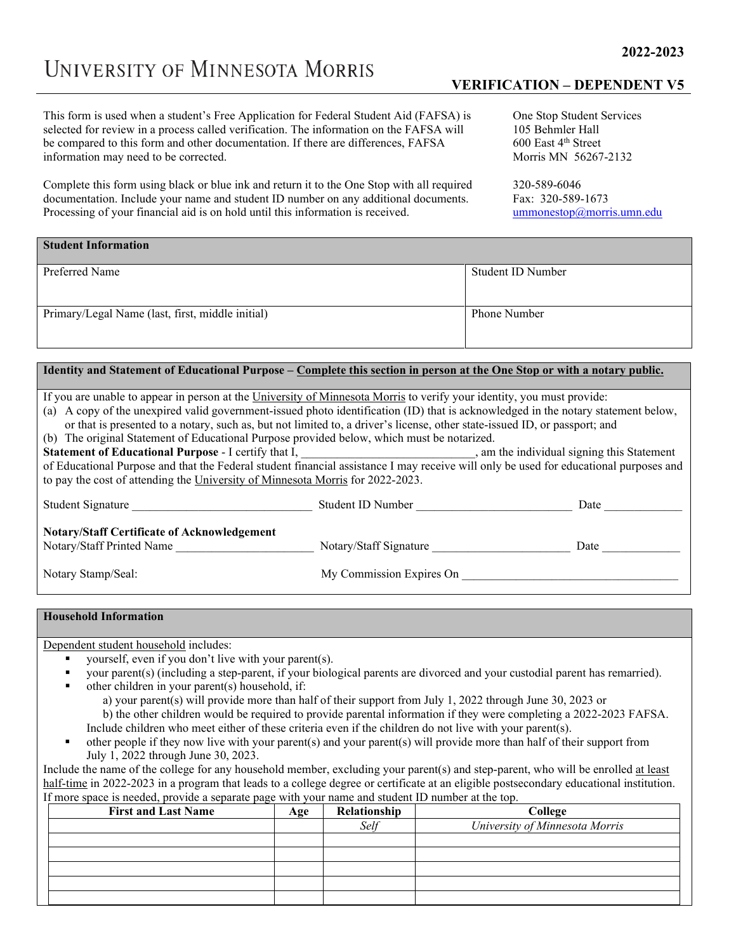This form is used when a student's Free Application for Federal Student Aid (FAFSA) is selected for review in a process called verification. The information on the FAFSA will be compared to this form and other documentation. If there are differences, FAFSA information may need to be corrected.

Complete this form using black or blue ink and return it to the One Stop with all required documentation. Include your name and student ID number on any additional documents. Processing of your financial aid is on hold until this information is received.

## **VERIFICATION – DEPENDENT V5**

One Stop Student Services 105 Behmler Hall 600 East 4th Street Morris MN 56267-2132

320-589-6046 Fax: 320-589-1673 [ummonestop@morris.umn.edu](mailto:ummonestop@morris.umn.edu)

| <b>Student Information</b>                       |                     |
|--------------------------------------------------|---------------------|
| Preferred Name                                   | Student ID Number   |
| Primary/Legal Name (last, first, middle initial) | <b>Phone Number</b> |

## **Identity and Statement of Educational Purpose – Complete this section in person at the One Stop or with a notary public.**

If you are unable to appear in person at the University of Minnesota Morris to verify your identity, you must provide:

(a) A copy of the unexpired valid government-issued photo identification (ID) that is acknowledged in the notary statement below, or that is presented to a notary, such as, but not limited to, a driver's license, other state-issued ID, or passport; and

(b) The original Statement of Educational Purpose provided below, which must be notarized.

**Statement of Educational Purpose - I** certify that I, the statement of **Educational Purpose - I** certify that I, of Educational Purpose and that the Federal student financial assistance I may receive will only be used for educational purposes and to pay the cost of attending the University of Minnesota Morris for 2022-2023.

| Student Signature                                                               | Student ID Number        | Date |
|---------------------------------------------------------------------------------|--------------------------|------|
| <b>Notary/Staff Certificate of Acknowledgement</b><br>Notary/Staff Printed Name | Notary/Staff Signature   | Date |
| Notary Stamp/Seal:                                                              | My Commission Expires On |      |

## **Household Information**

Dependent student household includes:

- yourself, even if you don't live with your parent(s).
- your parent(s) (including a step-parent, if your biological parents are divorced and your custodial parent has remarried).
- other children in your parent(s) household, if:
	- a) your parent(s) will provide more than half of their support from July 1, 2022 through June 30, 2023 or
	- b) the other children would be required to provide parental information if they were completing a 2022-2023 FAFSA. Include children who meet either of these criteria even if the children do not live with your parent(s).
- other people if they now live with your parent(s) and your parent(s) will provide more than half of their support from July 1, 2022 through June 30, 2023.

Include the name of the college for any household member, excluding your parent(s) and step-parent, who will be enrolled at least half-time in 2022-2023 in a program that leads to a college degree or certificate at an eligible postsecondary educational institution. If more space is needed, provide a separate page with your name and student ID number at the top.

| <b>First and Last Name</b> | Age | Relationship | College                        |
|----------------------------|-----|--------------|--------------------------------|
|                            |     | Self         | University of Minnesota Morris |
|                            |     |              |                                |
|                            |     |              |                                |
|                            |     |              |                                |
|                            |     |              |                                |
|                            |     |              |                                |